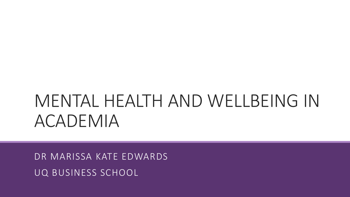# MENTAL HEALTH AND WELLBEING IN ACADEMIA

DR MARISSA KATE EDWARDS UQ BUSINESS SCHOOL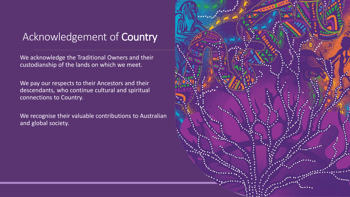#### Acknowledgement of Country

We acknowledge the Traditional Owners and their custodianship of the lands on which we meet.

We pay our respects to their Ancestors and their descendants, who continue cultural and spiritual connections to Country.

We recognise their valuable contributions to Australian and global society.

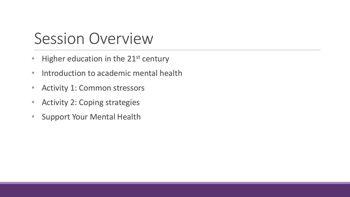### Session Overview

- Higher education in the  $21^{st}$  century
- Introduction to academic mental health
- Activity 1: Common stressors
- Activity 2: Coping strategies
- Support Your Mental Health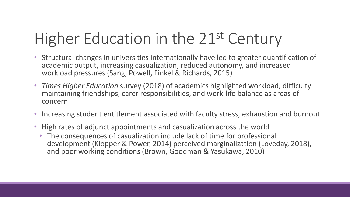# Higher Education in the 21<sup>st</sup> Century

- Structural changes in universities internationally have led to greater quantification of academic output, increasing casualization, reduced autonomy, and increased workload pressures (Sang, Powell, Finkel & Richards, 2015)
- *Times Higher Education* survey (2018) of academics highlighted workload, difficulty maintaining friendships, carer responsibilities, and work-life balance as areas of concern
- Increasing student entitlement associated with faculty stress, exhaustion and burnout
- High rates of adjunct appointments and casualization across the world
	- The consequences of casualization include lack of time for professional development (Klopper & Power, 2014) perceived marginalization (Loveday, 2018), and poor working conditions (Brown, Goodman & Yasukawa, 2010)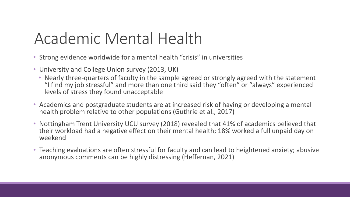## Academic Mental Health

- Strong evidence worldwide for a mental health "crisis" in universities
- University and College Union survey (2013, UK)
	- Nearly three-quarters of faculty in the sample agreed or strongly agreed with the statement "I find my job stressful" and more than one third said they "often" or "always" experienced levels of stress they found unacceptable
- Academics and postgraduate students are at increased risk of having or developing a mental health problem relative to other populations (Guthrie et al., 2017)
- Nottingham Trent University UCU survey (2018) revealed that 41% of academics believed that their workload had a negative effect on their mental health; 18% worked a full unpaid day on weekend
- Teaching evaluations are often stressful for faculty and can lead to heightened anxiety; abusive anonymous comments can be highly distressing (Heffernan, 2021)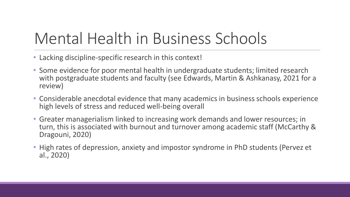## Mental Health in Business Schools

- Lacking discipline-specific research in this context!
- Some evidence for poor mental health in undergraduate students; limited research with postgraduate students and faculty (see Edwards, Martin & Ashkanasy, 2021 for a review)
- Considerable anecdotal evidence that many academics in business schools experience high levels of stress and reduced well-being overall
- Greater managerialism linked to increasing work demands and lower resources; in turn, this is associated with burnout and turnover among academic staff (McCarthy & Dragouni, 2020)
- High rates of depression, anxiety and impostor syndrome in PhD students (Pervez et al., 2020)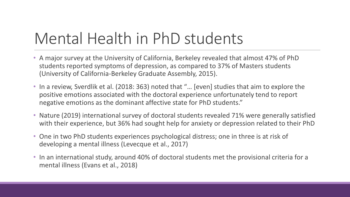## Mental Health in PhD students

- A major survey at the University of California, Berkeley revealed that almost 47% of PhD students reported symptoms of depression, as compared to 37% of Masters students (University of California-Berkeley Graduate Assembly, 2015).
- In a review, Sverdlik et al. (2018: 363) noted that "… [even] studies that aim to explore the positive emotions associated with the doctoral experience unfortunately tend to report negative emotions as the dominant affective state for PhD students."
- Nature (2019) international survey of doctoral students revealed 71% were generally satisfied with their experience, but 36% had sought help for anxiety or depression related to their PhD
- One in two PhD students experiences psychological distress; one in three is at risk of developing a mental illness (Levecque et al., 2017)
- In an international study, around 40% of doctoral students met the provisional criteria for a mental illness (Evans et al., 2018)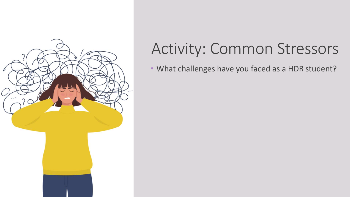

## Activity: Common Stressors

• What challenges have you faced as a HDR student?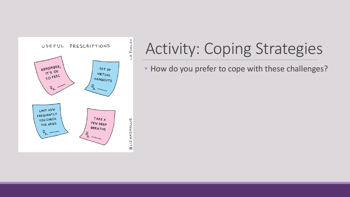

# Activity: Coping Strategies

• How do you prefer to cope with these challenges?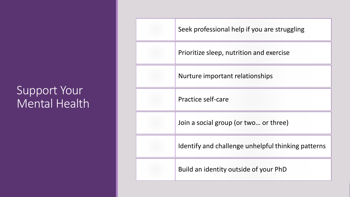#### Support Your Mental Health

| Seek professional help if you are struggling       |
|----------------------------------------------------|
| Prioritize sleep, nutrition and exercise           |
| Nurture important relationships                    |
| Practice self-care                                 |
| Join a social group (or two or three)              |
| Identify and challenge unhelpful thinking patterns |
| Build an identity outside of your PhD              |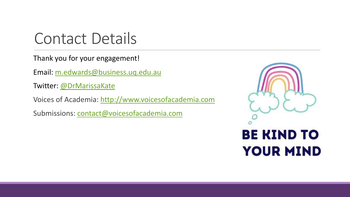#### Contact Details

Thank you for your engagement!

Email: [m.edwards@business.uq.edu.au](mailto:m.edwards@business.uq.edu.au)

Twitter: [@DrMarissaKate](https://twitter.com/drmarissakate?lang=en)

Voices of Academia: [http://www.voicesofacademia.com](http://www.voicesofacademia.com/)

Submissions: [contact@voicesofacademia.com](mailto:contact@voicesofacademia.com)